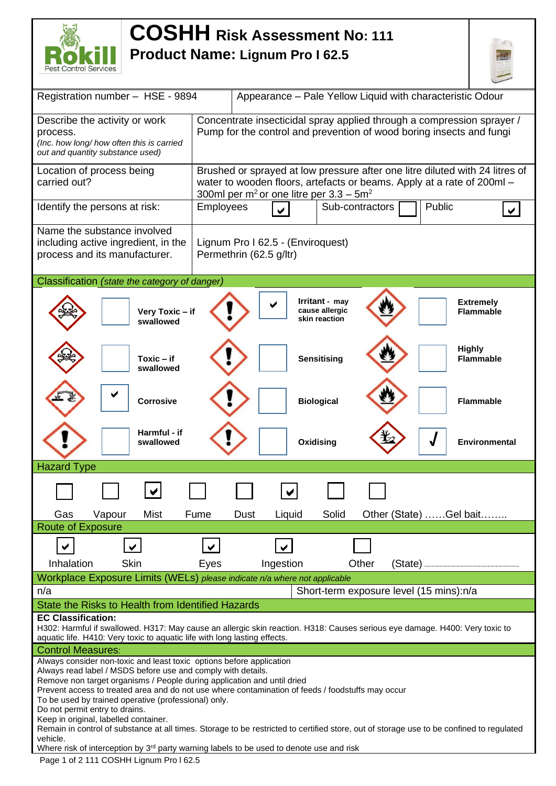

## **COSHH Risk Assessment No: <sup>111</sup> Product Name: Lignum Pro I 62.5**



| Registration number - HSE - 9894                                          | Appearance - Pale Yellow Liquid with characteristic Odour                                                                                |  |  |  |  |  |  |  |
|---------------------------------------------------------------------------|------------------------------------------------------------------------------------------------------------------------------------------|--|--|--|--|--|--|--|
| Describe the activity or work                                             | Concentrate insecticidal spray applied through a compression sprayer /                                                                   |  |  |  |  |  |  |  |
| process.                                                                  | Pump for the control and prevention of wood boring insects and fungi                                                                     |  |  |  |  |  |  |  |
|                                                                           | (Inc. how long/ how often this is carried                                                                                                |  |  |  |  |  |  |  |
| out and quantity substance used)                                          |                                                                                                                                          |  |  |  |  |  |  |  |
| Location of process being                                                 | Brushed or sprayed at low pressure after one litre diluted with 24 litres of                                                             |  |  |  |  |  |  |  |
| carried out?                                                              | water to wooden floors, artefacts or beams. Apply at a rate of 200ml -                                                                   |  |  |  |  |  |  |  |
| 300ml per m <sup>2</sup> or one litre per $3.3 - 5m^2$                    |                                                                                                                                          |  |  |  |  |  |  |  |
| Identify the persons at risk:                                             | Sub-contractors<br>Public<br><b>Employees</b><br>$\blacktriangledown$                                                                    |  |  |  |  |  |  |  |
| Name the substance involved                                               |                                                                                                                                          |  |  |  |  |  |  |  |
| including active ingredient, in the                                       | Lignum Pro I 62.5 - (Enviroquest)                                                                                                        |  |  |  |  |  |  |  |
| process and its manufacturer.                                             | Permethrin (62.5 g/ltr)                                                                                                                  |  |  |  |  |  |  |  |
|                                                                           |                                                                                                                                          |  |  |  |  |  |  |  |
| Classification (state the category of danger)                             |                                                                                                                                          |  |  |  |  |  |  |  |
|                                                                           |                                                                                                                                          |  |  |  |  |  |  |  |
|                                                                           | Irritant - may<br><b>Extremely</b>                                                                                                       |  |  |  |  |  |  |  |
| Very Toxic - if<br>swallowed                                              | cause allergic<br><b>Flammable</b><br>skin reaction                                                                                      |  |  |  |  |  |  |  |
|                                                                           |                                                                                                                                          |  |  |  |  |  |  |  |
|                                                                           |                                                                                                                                          |  |  |  |  |  |  |  |
| $Toxic - if$                                                              | <b>Highly</b><br><b>Sensitising</b><br><b>Flammable</b>                                                                                  |  |  |  |  |  |  |  |
| swallowed                                                                 |                                                                                                                                          |  |  |  |  |  |  |  |
|                                                                           |                                                                                                                                          |  |  |  |  |  |  |  |
|                                                                           |                                                                                                                                          |  |  |  |  |  |  |  |
| <b>Corrosive</b>                                                          | <b>Biological</b><br><b>Flammable</b>                                                                                                    |  |  |  |  |  |  |  |
|                                                                           |                                                                                                                                          |  |  |  |  |  |  |  |
|                                                                           |                                                                                                                                          |  |  |  |  |  |  |  |
|                                                                           |                                                                                                                                          |  |  |  |  |  |  |  |
| Harmful - if                                                              |                                                                                                                                          |  |  |  |  |  |  |  |
| swallowed                                                                 | Oxidising<br>Environmental                                                                                                               |  |  |  |  |  |  |  |
|                                                                           |                                                                                                                                          |  |  |  |  |  |  |  |
| <b>Hazard Type</b>                                                        |                                                                                                                                          |  |  |  |  |  |  |  |
|                                                                           |                                                                                                                                          |  |  |  |  |  |  |  |
|                                                                           |                                                                                                                                          |  |  |  |  |  |  |  |
| <b>Mist</b><br>Gas<br>Vapour                                              | Solid<br>Other (State) Gel bait<br>Fume<br>Dust<br>Liquid                                                                                |  |  |  |  |  |  |  |
| <b>Route of Exposure</b>                                                  |                                                                                                                                          |  |  |  |  |  |  |  |
|                                                                           |                                                                                                                                          |  |  |  |  |  |  |  |
| $\blacktriangledown$                                                      | $\blacktriangledown$<br>$\checkmark$                                                                                                     |  |  |  |  |  |  |  |
| Skin<br>Inhalation                                                        | Ingestion<br>Other<br>Eyes<br>(State)                                                                                                    |  |  |  |  |  |  |  |
|                                                                           | Workplace Exposure Limits (WELs) please indicate n/a where not applicable                                                                |  |  |  |  |  |  |  |
| n/a                                                                       | Short-term exposure level (15 mins):n/a                                                                                                  |  |  |  |  |  |  |  |
| State the Risks to Health from Identified Hazards                         |                                                                                                                                          |  |  |  |  |  |  |  |
| <b>EC Classification:</b>                                                 |                                                                                                                                          |  |  |  |  |  |  |  |
|                                                                           | H302: Harmful if swallowed. H317: May cause an allergic skin reaction. H318: Causes serious eye damage. H400: Very toxic to              |  |  |  |  |  |  |  |
| aquatic life. H410: Very toxic to aquatic life with long lasting effects. |                                                                                                                                          |  |  |  |  |  |  |  |
| <b>Control Measures:</b>                                                  |                                                                                                                                          |  |  |  |  |  |  |  |
| Always consider non-toxic and least toxic options before application      |                                                                                                                                          |  |  |  |  |  |  |  |
| Always read label / MSDS before use and comply with details.              |                                                                                                                                          |  |  |  |  |  |  |  |
| Remove non target organisms / People during application and until dried   | Prevent access to treated area and do not use where contamination of feeds / foodstuffs may occur                                        |  |  |  |  |  |  |  |
| To be used by trained operative (professional) only.                      |                                                                                                                                          |  |  |  |  |  |  |  |
| Do not permit entry to drains.                                            |                                                                                                                                          |  |  |  |  |  |  |  |
| Keep in original, labelled container.                                     |                                                                                                                                          |  |  |  |  |  |  |  |
| vehicle.                                                                  | Remain in control of substance at all times. Storage to be restricted to certified store, out of storage use to be confined to regulated |  |  |  |  |  |  |  |
|                                                                           | Where risk of interception by 3 <sup>rd</sup> party warning labels to be used to denote use and risk                                     |  |  |  |  |  |  |  |